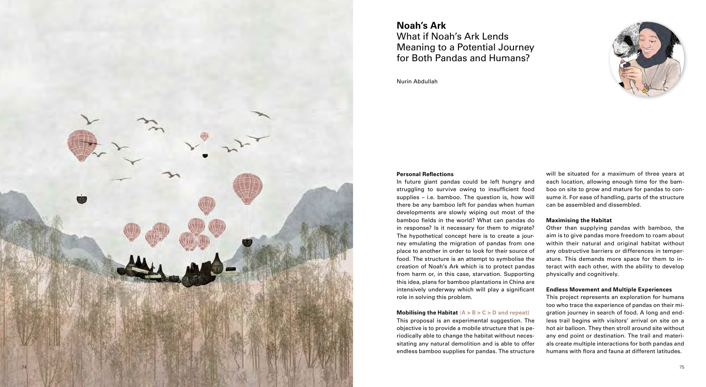### **Mobilising the Habitat** (**A > B > C > D and repeat)**

**Personal Reflections** In future giant pandas could be left hungry and struggling to survive owing to insufficient food supplies – i.e. bamboo. The question is, how will there be any bamboo left for pandas when human developments are slowly wiping out most of the bamboo fields in the world? What can pandas do in response? Is it necessary for them to migrate? The hypothetical concept here is to create a jour ney emulating the migration of pandas from one place to another in order to look for their source of food. The structure is an attempt to symbolise the creation of Noah's Ark which is to protect pandas from harm or, in this case, starvation. Supporting this idea, plans for bamboo plantations in China are intensively underway which will play a significant role in solving this problem. will be situated for a maximum of three years at each location, allowing enough time for the bam boo on site to grow and mature for pandas to con sume it. For ease of handling, parts of the structure can be assembled and dissembled. **Maximising the Habitat**  Other than supplying pandas with bamboo, the aim is to give pandas more freedom to roam about within their natural and original habitat without any obstructive barriers or differences in temper ature. This demands more space for them to in teract with each other, with the ability to develop physically and cognitively. **Endless Movement and Multiple Experiences**  This project represents an exploration for humans

This proposal is an experimental suggestion. The objective is to provide a mobile structure that is pe riodically able to change the habitat without neces sitating any natural demolition and is able to offer endless bamboo supplies for pandas. The structure too who trace the experience of pandas on their mi gration journey in search of food. A long and end less trail begins with visitors' arrival on site on a hot air balloon. They then stroll around site without any end point or destination. The trail and materi als create multiple interactions for both pandas and humans with flora and fauna at different latitudes.



# **Noah's Ark** What if Noah's Ark Lends

Meaning to a Potential Journey for Both Pandas and Humans?

Nurin Abdullah

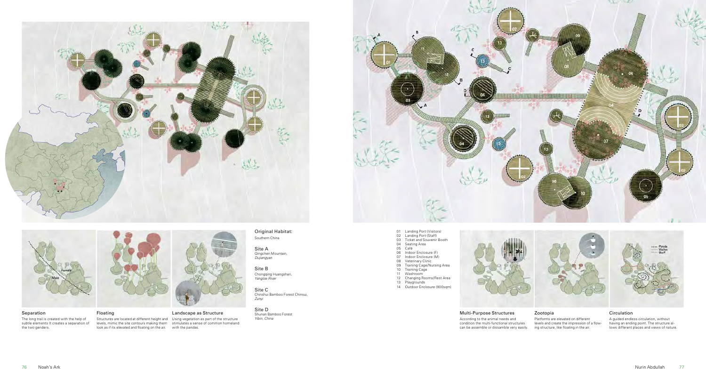





### Separation

The long trail is created with the help of subtle elements It creates a separation of the two genders.



Multi-Purpose Structures According to the animal needs and condition the multi-functional structures can be assemble or dissamble very easily.



Structures are located at different height and levels, mimic the site contours making them Using vegetation as part of the structure stimulates a sense of common homeland look as if its elevated and floating on the air. with the pandas.

- 
- 01 Landing Port (Visitors) 02 Landing Port (Staff) 03 Ticket and Souvenir Booth 04 Seating Area 05 Café 06 Indoor Enclosure (F) 07 Indoor Enclosure (M)
- 
- 
- 
- 
- 08 Veterinary Clinic 09 Training Cage/Nursing Area 10 Training Cage 11 Washroom 12 Changing Rooms/Rest Area
- 
- 
- 
- 13 Playgrounds 14 Outdoor Enclosure (900sqm)
- 

Original Habitat: Southern China

Site AQingchen Mountain, *Dujiangyan*

Site B Chongqing Huangshan, *Yangtze River*

Site CChinshui Bamboo Forest Chinsui, *Zunyi*

Site DShunan Bamboo Forest *Yibin, China*



Floating

#### Zootopia

Platforms are elevated on different levels and create the impression of a flowing structure, like floating in the air.

## Landscape as Structure

### Circulation

A guided endless circulation, without having an ending point. The structure allows different places and views of nature.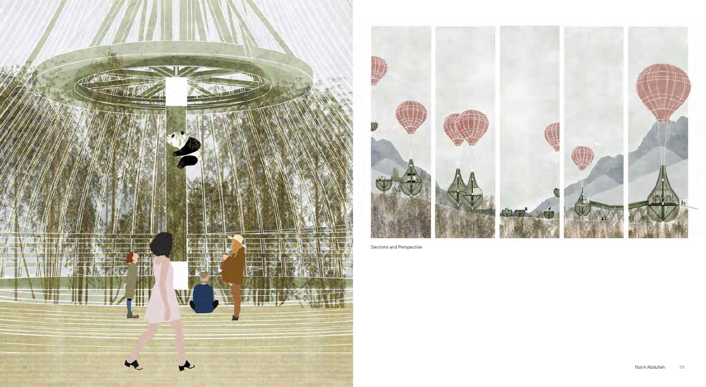Sections and Perspective



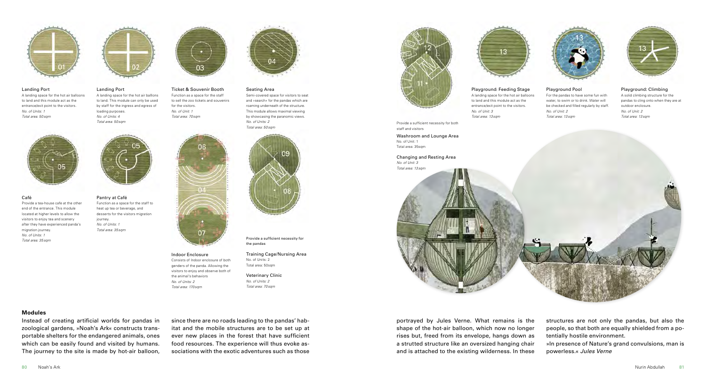since there are no roads leading to the pandas' habitat and the mobile structures are to be set up at ever new places in the forest that have sufficient food resources. The experience will thus evoke associations with the exotic adventures such as those

#### **Modules**

Instead of creating artificial worlds for pandas in zoological gardens, »Noah's Ark« constructs transportable shelters for the endangered animals, ones which can be easily found and visited by humans. The journey to the site is made by hot-air balloon,



#### Landing Port

A landing space for the hot air balloons to land and this module act as the entrance/exit point to the visitors. *No. of Units: 1 Total area: 50sqm*





Provide a tea-house cafe at the other end of the entrance. This module located at higher levels to allow the visitors to enjoy tea and scenery after they have experienced panda's

migration journey. *No. of Units: 1 Total area: 35sqm* Pantry at Café Function as a space for the staff to heat up tea or beverage, and desserts for the visitors migration journey. *No. of Units: 1 Total area: 35sqm*



Indoor Enclosure

Consists of Indoor enclosure of both genders of the panda. Allowing the visitors to enjoy and observe both of



the animal's behaviors *No. of Units: 2 Total area: 170sqm*

Provide a sufficient necessity for the pandas

Training Cage/Nursing Area No. of Units: 2

Total area: 50sqm





Veterinary Clinic *No. of Units: 2 Total area: 70sqm*

Landing Port A landing space for the hot air balllons to land. This module can only be used by staff for the ingress and egress of loading purposes. *No. of Units: 4 Total area: 50sqm*



Ticket & Souvenir Booth Function as a space for the staff to sell the zoo tickets and souvenirs for the visitors. *No. of Unit: 1 Total area: 70sqm*



#### Seating Area

Semi-covered space for visitors to seat and »search« for the pandas which are roaming underneath of the structure. This module allows maximal viewing by showcasing the paranomic views. *No. of Units: 2 Total area: 50sqm*



- structures are not only the pandas, but also the
- people, so that both are equally shielded from a potentially hostile environment.
- »In presence of Nature's grand convulsions, man is
- powerless.« *Jules Verne*

portrayed by Jules Verne. What remains is the shape of the hot-air balloon, which now no longer rises but, freed from its envelope, hangs down as a strutted structure like an oversized hanging chair and is attached to the existing wilderness. In these

Playground: Feeding Stage A landing space for the hot air balloons to land and this module act as the entrance/exit point to the visitors. *No. of Unit: 3 Total area: 13sqm*

Provide a sufficient necessity for both staff and visitors

No. of Unit: 1 Total area: 35sqm



*No. of Unit: 3 Total area: 13sqm*

### Playground Pool

For the pandas to have some fun with water, to swim or to drink. Water will be checked and filled regularly by staff. *No. of Unit: 2 Total area: 13sqm*



Playground: Climbing A solid climbing structure for the pandas to cling onto when they are at outdoor enclosure. *No. of Unit: 2 Total area: 13sqm*